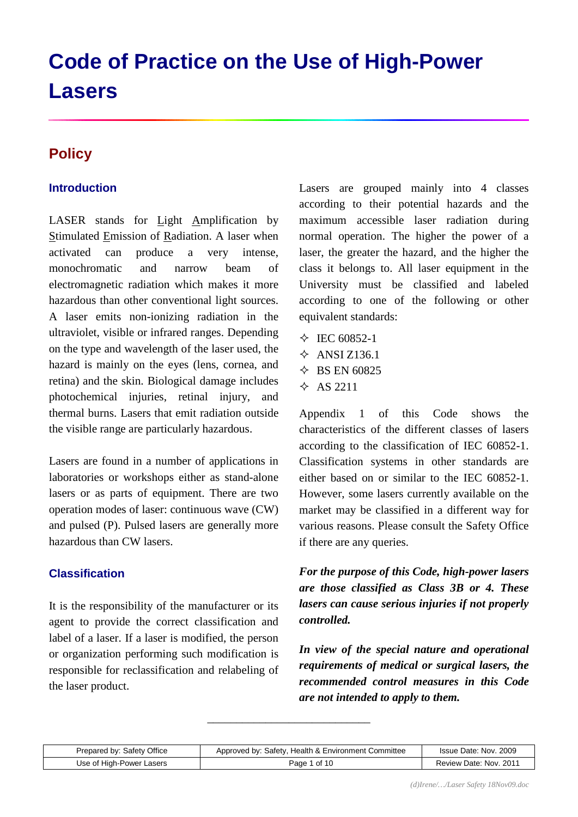# **Code of Practice on the Use of High-Power Lasers**

# **Policy**

# **Introduction**

LASER stands for Light Amplification by Stimulated Emission of Radiation. A laser when activated can produce a very intense, monochromatic and narrow beam of electromagnetic radiation which makes it more hazardous than other conventional light sources. A laser emits non-ionizing radiation in the ultraviolet, visible or infrared ranges. Depending on the type and wavelength of the laser used, the hazard is mainly on the eyes (lens, cornea, and retina) and the skin. Biological damage includes photochemical injuries, retinal injury, and thermal burns. Lasers that emit radiation outside the visible range are particularly hazardous.

Lasers are found in a number of applications in laboratories or workshops either as stand-alone lasers or as parts of equipment. There are two operation modes of laser: continuous wave (CW) and pulsed (P). Pulsed lasers are generally more hazardous than CW lasers.

## **Classification**

It is the responsibility of the manufacturer or its agent to provide the correct classification and label of a laser. If a laser is modified, the person or organization performing such modification is responsible for reclassification and relabeling of the laser product.

Lasers are grouped mainly into 4 classes according to their potential hazards and the maximum accessible laser radiation during normal operation. The higher the power of a laser, the greater the hazard, and the higher the class it belongs to. All laser equipment in the University must be classified and labeled according to one of the following or other equivalent standards:

- $\div$  IEC 60852-1  $\div$  ANSI Z136.1
- $\div$  BS EN 60825
- $\triangle$  AS 2211

Appendix 1 of this Code shows the characteristics of the different classes of lasers according to the classification of IEC 60852-1. Classification systems in other standards are either based on or similar to the IEC 60852-1. However, some lasers currently available on the market may be classified in a different way for various reasons. Please consult the Safety Office if there are any queries.

*For the purpose of this Code, high-power lasers are those classified as Class 3B or 4. These lasers can cause serious injuries if not properly controlled.*

*In view of the special nature and operational requirements of medical or surgical lasers, the recommended control measures in this Code are not intended to apply to them.*

| Prepared by: Safety Office | Approved by: Safety, Health & Environment Committee | Issue Date: Nov. 2009  |
|----------------------------|-----------------------------------------------------|------------------------|
| Use of High-Power Lasers   | Page 1 of 10                                        | Review Date: Nov. 2011 |

\_\_\_\_\_\_\_\_\_\_\_\_\_\_\_\_\_\_\_\_\_\_\_\_\_\_\_\_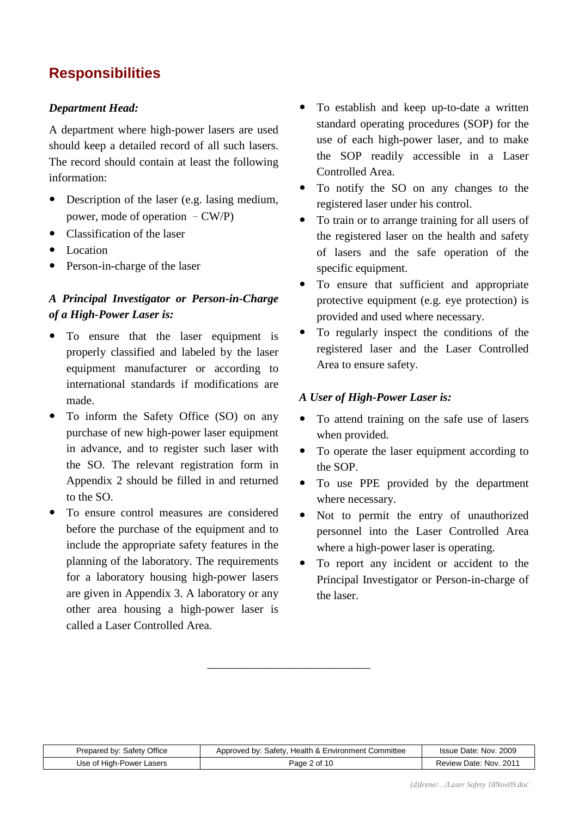# **Responsibilities**

#### *Department Head:*

A department where high-power lasers are used should keep a detailed record of all such lasers. The record should contain at least the following information:

- Description of the laser (e.g. lasing medium, power, mode of operation –CW/P)
- Classification of the laser
- Location
- Person-in-charge of the laser

# *A Principal Investigator or Person-in-Charge of a High-Power Laser is:*

- To ensure that the laser equipment is properly classified and labeled by the laser equipment manufacturer or according to international standards if modifications are made.
- To inform the Safety Office (SO) on any purchase of new high-power laser equipment in advance, and to register such laser with the SO. The relevant registration form in Appendix 2 should be filled in and returned to the SO.
- To ensure control measures are considered before the purchase of the equipment and to include the appropriate safety features in the planning of the laboratory. The requirements for a laboratory housing high-power lasers are given in Appendix 3. A laboratory or any other area housing a high-power laser is called a Laser Controlled Area.
- To establish and keep up-to-date a written standard operating procedures (SOP) for the use of each high-power laser, and to make the SOP readily accessible in a Laser Controlled Area.
- To notify the SO on any changes to the registered laser under his control.
- To train or to arrange training for all users of the registered laser on the health and safety of lasers and the safe operation of the specific equipment.
- To ensure that sufficient and appropriate protective equipment (e.g. eye protection) is provided and used where necessary.
- To regularly inspect the conditions of the registered laser and the Laser Controlled Area to ensure safety.

#### *A User of High-Power Laser is:*

- To attend training on the safe use of lasers when provided.
- To operate the laser equipment according to the SOP.
- To use PPE provided by the department where necessary.
- Not to permit the entry of unauthorized personnel into the Laser Controlled Area where a high-power laser is operating.
- To report any incident or accident to the Principal Investigator or Person-in-charge of the laser.

| Prepared by: Safety Office | Approved by: Safety, Health & Environment Committee | Issue Date: Nov. 2009  |
|----------------------------|-----------------------------------------------------|------------------------|
| Use of High-Power Lasers   | Page 2 of 10                                        | Review Date: Nov. 2011 |

\_\_\_\_\_\_\_\_\_\_\_\_\_\_\_\_\_\_\_\_\_\_\_\_\_\_\_\_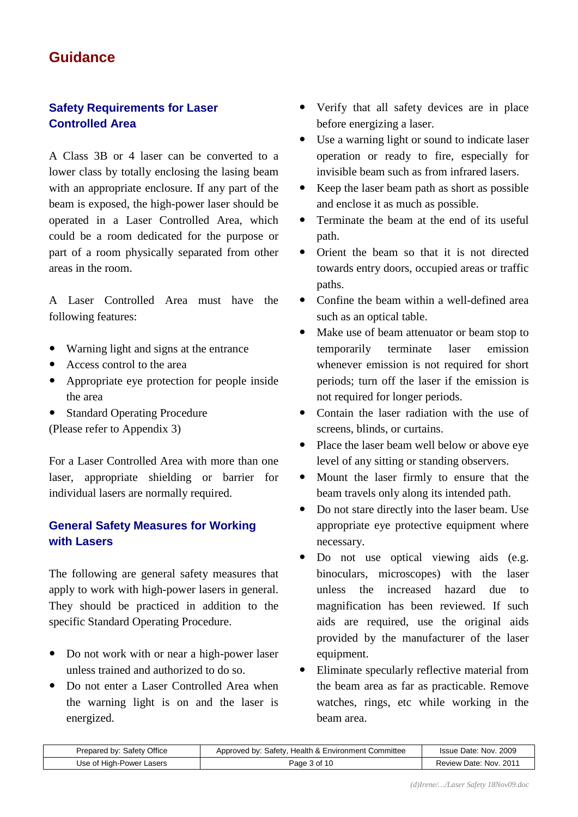# **Guidance**

# **Safety Requirements for Laser Controlled Area**

A Class 3B or 4 laser can be converted to a lower class by totally enclosing the lasing beam with an appropriate enclosure. If any part of the beam is exposed, the high-power laser should be operated in a Laser Controlled Area, which could be a room dedicated for the purpose or part of a room physically separated from other areas in the room.

A Laser Controlled Area must have the following features:

- Warning light and signs at the entrance
- Access control to the area
- Appropriate eye protection for people inside the area
- Standard Operating Procedure (Please refer to Appendix 3)

For a Laser Controlled Area with more than one laser, appropriate shielding or barrier for individual lasers are normally required.

# **General Safety Measures for Working with Lasers**

The following are general safety measures that apply to work with high-power lasers in general. They should be practiced in addition to the specific Standard Operating Procedure.

- Do not work with or near a high-power laser unless trained and authorized to do so.
- Do not enter a Laser Controlled Area when the warning light is on and the laser is energized.
- Verify that all safety devices are in place before energizing a laser.
- Use a warning light or sound to indicate laser operation or ready to fire, especially for invisible beam such as from infrared lasers.
- Keep the laser beam path as short as possible and enclose it as much as possible.
- Terminate the beam at the end of its useful path.
- Orient the beam so that it is not directed towards entry doors, occupied areas or traffic paths.
- Confine the beam within a well-defined area such as an optical table.
- Make use of beam attenuator or beam stop to temporarily terminate laser emission whenever emission is not required for short periods; turn off the laser if the emission is not required for longer periods.
- Contain the laser radiation with the use of screens, blinds, or curtains.
- Place the laser beam well below or above eye level of any sitting or standing observers.
- Mount the laser firmly to ensure that the beam travels only along its intended path.
- Do not stare directly into the laser beam. Use appropriate eye protective equipment where necessary.
- Do not use optical viewing aids (e.g. binoculars, microscopes) with the laser unless the increased hazard due to magnification has been reviewed. If such aids are required, use the original aids provided by the manufacturer of the laser equipment.
- Eliminate specularly reflective material from the beam area as far as practicable. Remove watches, rings, etc while working in the beam area.

| : Safety Office<br>Prepared by: | Approved by: Safety, Health & Environment Committee | Issue Date: Nov. 2009     |
|---------------------------------|-----------------------------------------------------|---------------------------|
| Use of High-Power Lasers        | Page 3 of 10                                        | Nov. 2011<br>Review Date: |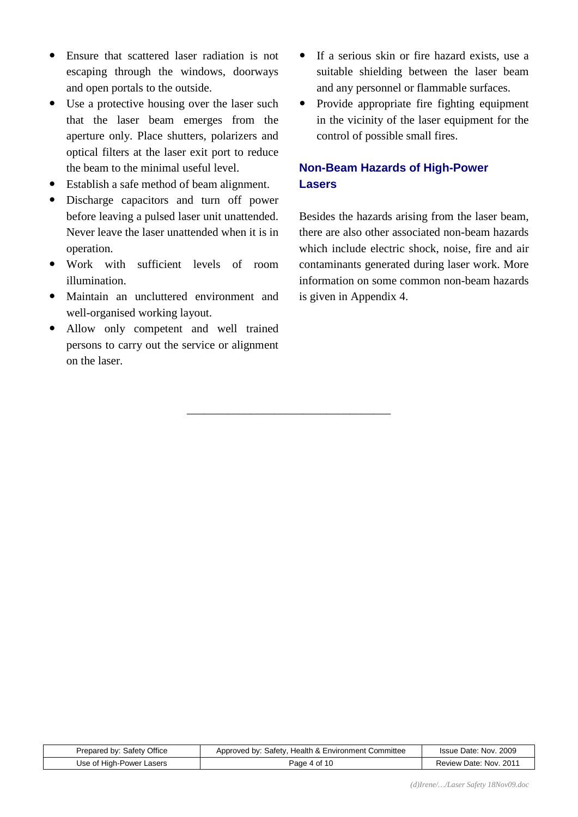- Ensure that scattered laser radiation is not escaping through the windows, doorways and open portals to the outside.
- Use a protective housing over the laser such that the laser beam emerges from the aperture only. Place shutters, polarizers and optical filters at the laser exit port to reduce the beam to the minimal useful level.
- Establish a safe method of beam alignment.
- Discharge capacitors and turn off power before leaving a pulsed laser unit unattended. Never leave the laser unattended when it is in operation.
- Work with sufficient levels of room illumination.
- Maintain an uncluttered environment and well-organised working layout.
- Allow only competent and well trained persons to carry out the service or alignment on the laser.
- If a serious skin or fire hazard exists, use a suitable shielding between the laser beam and any personnel or flammable surfaces.
- Provide appropriate fire fighting equipment in the vicinity of the laser equipment for the control of possible small fires.

# **Non-Beam Hazards of High-Power Lasers**

Besides the hazards arising from the laser beam, there are also other associated non-beam hazards which include electric shock, noise, fire and air contaminants generated during laser work. More information on some common non-beam hazards is given in Appendix 4.

| Prepared by: Safety Office | Approved by: Safety, Health & Environment Committee | Issue Date: Nov. 2009  |
|----------------------------|-----------------------------------------------------|------------------------|
| Use of High-Power Lasers   | Page 4 of 10                                        | Review Date: Nov. 2011 |

\_\_\_\_\_\_\_\_\_\_\_\_\_\_\_\_\_\_\_\_\_\_\_\_\_\_\_\_\_\_\_\_\_\_\_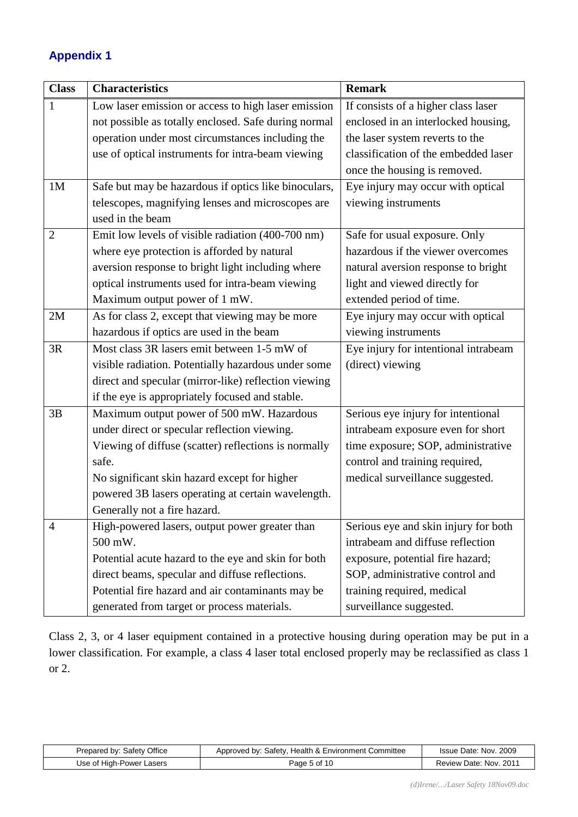# **Appendix 1**

| <b>Class</b>   | <b>Characteristics</b>                               | <b>Remark</b>                        |
|----------------|------------------------------------------------------|--------------------------------------|
| 1              | Low laser emission or access to high laser emission  | If consists of a higher class laser  |
|                | not possible as totally enclosed. Safe during normal | enclosed in an interlocked housing,  |
|                | operation under most circumstances including the     | the laser system reverts to the      |
|                | use of optical instruments for intra-beam viewing    | classification of the embedded laser |
|                |                                                      | once the housing is removed.         |
| 1 <sub>M</sub> | Safe but may be hazardous if optics like binoculars, | Eye injury may occur with optical    |
|                | telescopes, magnifying lenses and microscopes are    | viewing instruments                  |
|                | used in the beam                                     |                                      |
| $\overline{2}$ | Emit low levels of visible radiation (400-700 nm)    | Safe for usual exposure. Only        |
|                | where eye protection is afforded by natural          | hazardous if the viewer overcomes    |
|                | aversion response to bright light including where    | natural aversion response to bright  |
|                | optical instruments used for intra-beam viewing      | light and viewed directly for        |
|                | Maximum output power of 1 mW.                        | extended period of time.             |
| 2M             | As for class 2, except that viewing may be more      | Eye injury may occur with optical    |
|                | hazardous if optics are used in the beam             | viewing instruments                  |
| 3R             | Most class 3R lasers emit between 1-5 mW of          | Eye injury for intentional intrabeam |
|                | visible radiation. Potentially hazardous under some  | (direct) viewing                     |
|                | direct and specular (mirror-like) reflection viewing |                                      |
|                | if the eye is appropriately focused and stable.      |                                      |
| 3B             | Maximum output power of 500 mW. Hazardous            | Serious eye injury for intentional   |
|                | under direct or specular reflection viewing.         | intrabeam exposure even for short    |
|                | Viewing of diffuse (scatter) reflections is normally | time exposure; SOP, administrative   |
|                | safe.                                                | control and training required,       |
|                | No significant skin hazard except for higher         | medical surveillance suggested.      |
|                | powered 3B lasers operating at certain wavelength.   |                                      |
|                | Generally not a fire hazard.                         |                                      |
| 4              | High-powered lasers, output power greater than       | Serious eye and skin injury for both |
|                | 500 mW.                                              | intrabeam and diffuse reflection     |
|                | Potential acute hazard to the eye and skin for both  | exposure, potential fire hazard;     |
|                | direct beams, specular and diffuse reflections.      | SOP, administrative control and      |
|                | Potential fire hazard and air contaminants may be    | training required, medical           |
|                | generated from target or process materials.          | surveillance suggested.              |

Class 2, 3, or 4 laser equipment contained in a protective housing during operation may be put in a lower classification. For example, a class 4 laser total enclosed properly may be reclassified as class 1 or 2.

| Prepared by: Safety Office | Approved by: Safety, Health & Environment Committee | Issue Date: Nov. 2009  |
|----------------------------|-----------------------------------------------------|------------------------|
| Use of High-Power Lasers   | Page 5 of 10                                        | Review Date: Nov. 2011 |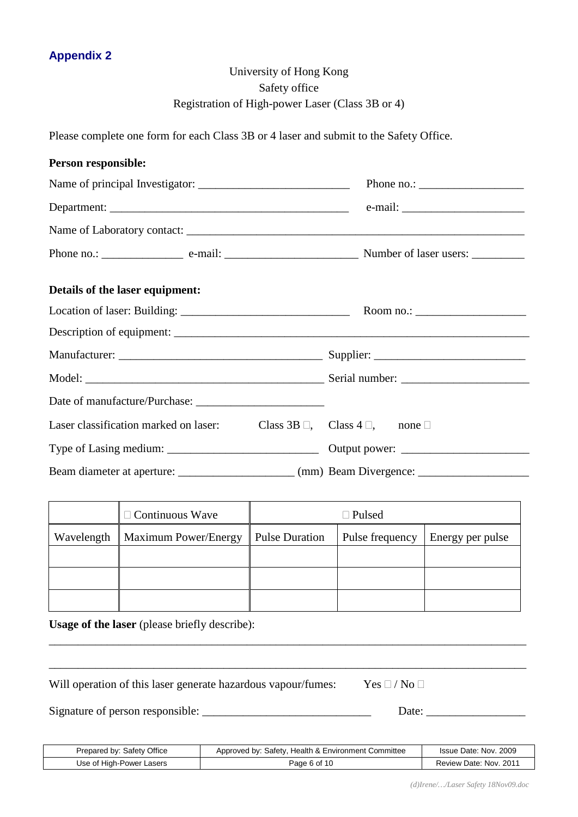# University of Hong Kong Safety office Registration of High-power Laser (Class 3B or 4)

Please complete one form for each Class 3B or 4 laser and submit to the Safety Office.

| Person responsible:                                                                  |                           |
|--------------------------------------------------------------------------------------|---------------------------|
|                                                                                      |                           |
|                                                                                      |                           |
|                                                                                      |                           |
|                                                                                      |                           |
| Details of the laser equipment:                                                      |                           |
|                                                                                      | Room no.: $\qquad \qquad$ |
|                                                                                      |                           |
|                                                                                      |                           |
|                                                                                      |                           |
|                                                                                      |                           |
| Laser classification marked on laser: Class 3B $\Box$ , Class 4 $\Box$ , none $\Box$ |                           |
|                                                                                      |                           |
|                                                                                      |                           |

| $\Box$ Continuous Wave            | $\Box$ Pulsed         |  |                                    |
|-----------------------------------|-----------------------|--|------------------------------------|
| Wavelength   Maximum Power/Energy | <b>Pulse Duration</b> |  | Pulse frequency   Energy per pulse |
|                                   |                       |  |                                    |
|                                   |                       |  |                                    |
|                                   |                       |  |                                    |

\_\_\_\_\_\_\_\_\_\_\_\_\_\_\_\_\_\_\_\_\_\_\_\_\_\_\_\_\_\_\_\_\_\_\_\_\_\_\_\_\_\_\_\_\_\_\_\_\_\_\_\_\_\_\_\_\_\_\_\_\_\_\_\_\_\_\_\_\_\_\_\_\_\_\_\_\_\_\_\_\_\_

\_\_\_\_\_\_\_\_\_\_\_\_\_\_\_\_\_\_\_\_\_\_\_\_\_\_\_\_\_\_\_\_\_\_\_\_\_\_\_\_\_\_\_\_\_\_\_\_\_\_\_\_\_\_\_\_\_\_\_\_\_\_\_\_\_\_\_\_\_\_\_\_\_\_\_\_\_\_\_\_\_\_

**Usage of the laser** (please briefly describe):

Will operation of this laser generate hazardous vapour/fumes: Yes  $\Box$  / No  $\Box$ 

Signature of person responsible: \_\_\_\_\_\_\_\_\_\_\_\_\_\_\_\_\_\_\_\_\_\_\_\_\_\_\_\_\_ Date: \_\_\_\_\_\_\_\_\_\_\_\_\_\_\_\_\_

| Prepared by: Safety Office | Approved by: Safety, Health & Environment Committee | Issue Date: Nov. 2009  |
|----------------------------|-----------------------------------------------------|------------------------|
| Use of High-Power Lasers   | Page 6 of 10                                        | Review Date: Nov. 2011 |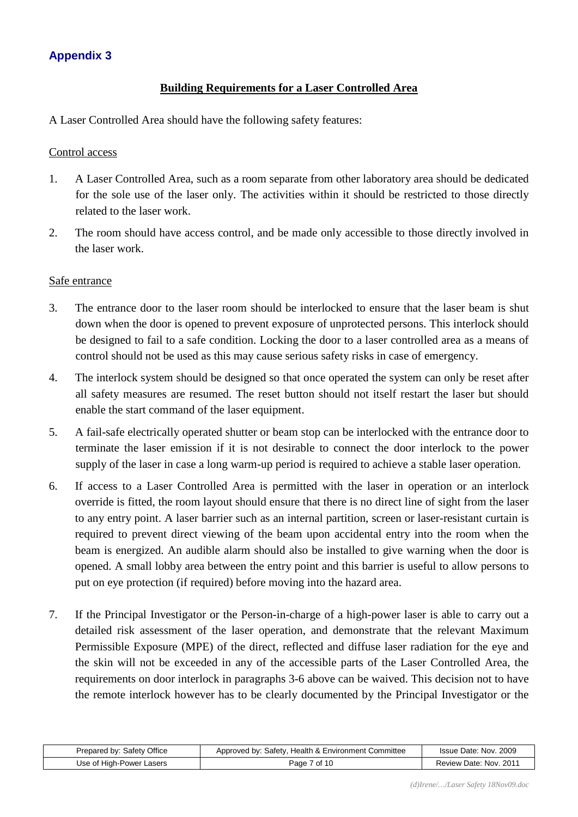## **Appendix 3**

#### **Building Requirements for a Laser Controlled Area**

A Laser Controlled Area should have the following safety features:

#### Control access

- 1. A Laser Controlled Area, such as a room separate from other laboratory area should be dedicated for the sole use of the laser only. The activities within it should be restricted to those directly related to the laser work.
- 2. The room should have access control, and be made only accessible to those directly involved in the laser work.

#### Safe entrance

- 3. The entrance door to the laser room should be interlocked to ensure that the laser beam is shut down when the door is opened to prevent exposure of unprotected persons. This interlock should be designed to fail to a safe condition. Locking the door to a laser controlled area as a means of control should not be used as this may cause serious safety risks in case of emergency.
- 4. The interlock system should be designed so that once operated the system can only be reset after all safety measures are resumed. The reset button should not itself restart the laser but should enable the start command of the laser equipment.
- 5. A fail-safe electrically operated shutter or beam stop can be interlocked with the entrance door to terminate the laser emission if it is not desirable to connect the door interlock to the power supply of the laser in case a long warm-up period is required to achieve a stable laser operation.
- 6. If access to a Laser Controlled Area is permitted with the laser in operation or an interlock override is fitted, the room layout should ensure that there is no direct line of sight from the laser to any entry point. A laser barrier such as an internal partition, screen or laser-resistant curtain is required to prevent direct viewing of the beam upon accidental entry into the room when the beam is energized. An audible alarm should also be installed to give warning when the door is opened. A small lobby area between the entry point and this barrier is useful to allow persons to put on eye protection (if required) before moving into the hazard area.
- 7. If the Principal Investigator or the Person-in-charge of a high-power laser is able to carry out a detailed risk assessment of the laser operation, and demonstrate that the relevant Maximum Permissible Exposure (MPE) of the direct, reflected and diffuse laser radiation for the eye and the skin will not be exceeded in any of the accessible parts of the Laser Controlled Area, the requirements on door interlock in paragraphs 3-6 above can be waived. This decision not to have the remote interlock however has to be clearly documented by the Principal Investigator or the

| Prepared by: Safety Office | Approved by: Safety, Health & Environment Committee | Issue Date: Nov. 2009  |
|----------------------------|-----------------------------------------------------|------------------------|
| Use of High-Power Lasers   | Page 7 of 10                                        | Review Date: Nov. 2011 |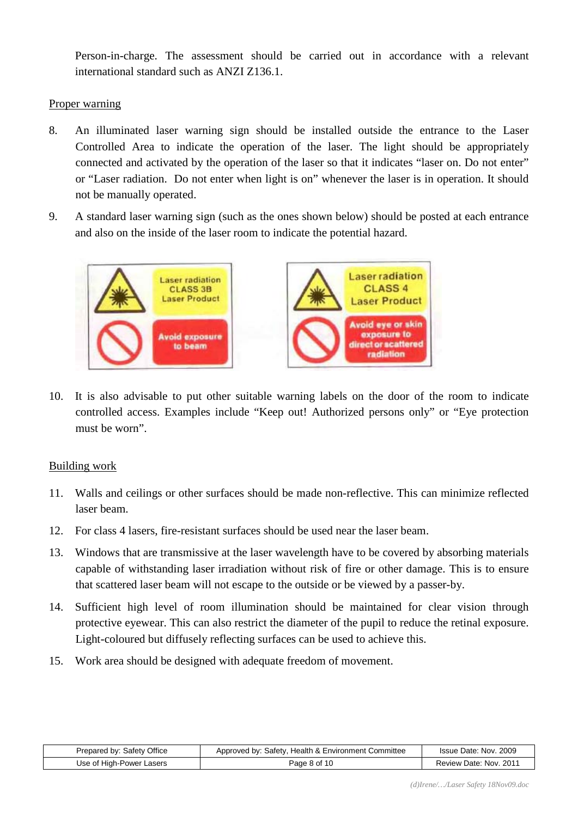Person-in-charge. The assessment should be carried out in accordance with a relevant international standard such as ANZI Z136.1.

#### Proper warning

- 8. An illuminated laser warning sign should be installed outside the entrance to the Laser Controlled Area to indicate the operation of the laser. The light should be appropriately connected and activated by the operation of the laser so that it indicates "laser on. Do not enter" or "Laser radiation. Do not enter when light is on" whenever the laser is in operation. It should not be manually operated.
- 9. A standard laser warning sign (such as the ones shown below) should be posted at each entrance and also on the inside of the laser room to indicate the potential hazard.



10. It is also advisable to put other suitable warning labels on the door of the room to indicate controlled access. Examples include "Keep out! Authorized persons only" or "Eye protection must be worn".

#### Building work

- 11. Walls and ceilings or other surfaces should be made non-reflective. This can minimize reflected laser beam.
- 12. For class 4 lasers, fire-resistant surfaces should be used near the laser beam.
- 13. Windows that are transmissive at the laser wavelength have to be covered by absorbing materials capable of withstanding laser irradiation without risk of fire or other damage. This is to ensure that scattered laser beam will not escape to the outside or be viewed by a passer-by.
- 14. Sufficient high level of room illumination should be maintained for clear vision through protective eyewear. This can also restrict the diameter of the pupil to reduce the retinal exposure. Light-coloured but diffusely reflecting surfaces can be used to achieve this.
- 15. Work area should be designed with adequate freedom of movement.

| Prepared by: Safety Office | Approved by: Safety, Health & Environment Committee | Issue Date: Nov. 2009  |
|----------------------------|-----------------------------------------------------|------------------------|
| Use of High-Power Lasers   | Page 8 of 10                                        | Review Date: Nov. 2011 |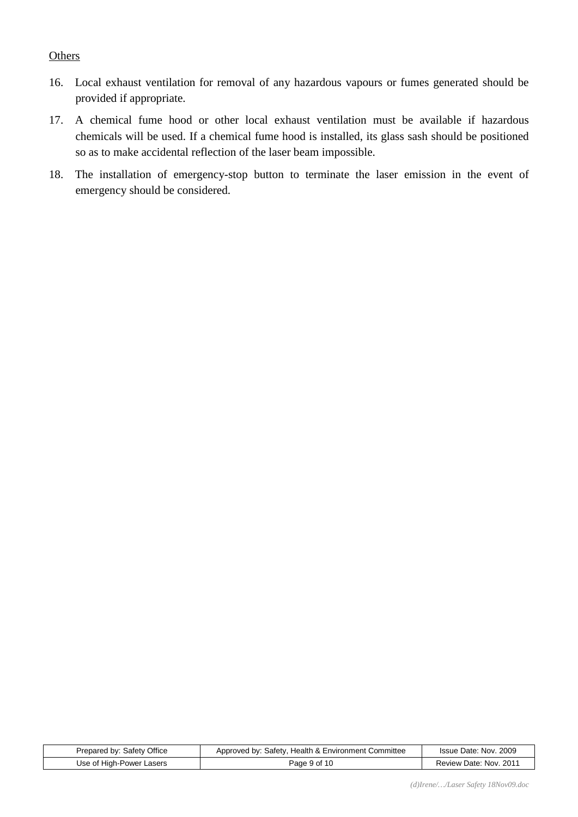#### **Others**

- 16. Local exhaust ventilation for removal of any hazardous vapours or fumes generated should be provided if appropriate.
- 17. A chemical fume hood or other local exhaust ventilation must be available if hazardous chemicals will be used. If a chemical fume hood is installed, its glass sash should be positioned so as to make accidental reflection of the laser beam impossible.
- 18. The installation of emergency-stop button to terminate the laser emission in the event of emergency should be considered.

| Prepared by: Safety Office | Approved by: Safety, Health & Environment Committee | Issue Date: Nov. 2009  |
|----------------------------|-----------------------------------------------------|------------------------|
| Use of High-Power Lasers   | Page 9 of 10                                        | Review Date: Nov. 2011 |